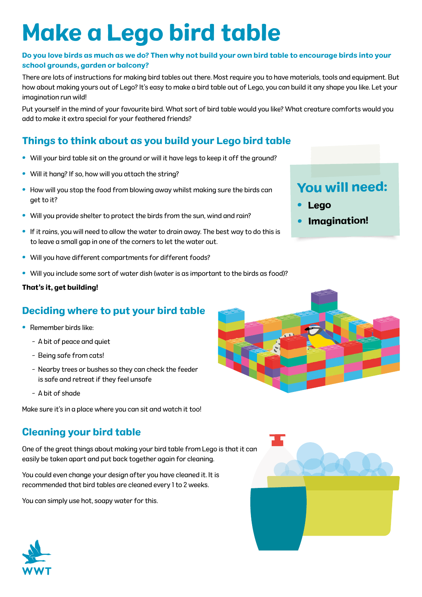# Make a Lego bird table

#### Do you love birds as much as we do? Then why not build your own bird table to encourage birds into your school grounds, garden or balcony?

There are lots of instructions for making bird tables out there. Most require you to have materials, tools and equipment. But how about making yours out of Lego? It's easy to make a bird table out of Lego, you can build it any shape you like. Let your imagination run wild!

Put yourself in the mind of your favourite bird. What sort of bird table would you like? What creature comforts would you add to make it extra special for your feathered friends?

## Things to think about as you build your Lego bird table

- Will your bird table sit on the ground or will it have legs to keep it off the ground?
- Will it hang? If so, how will you attach the string?
- How will you stop the food from blowing away whilst making sure the birds can get to it?
- Will you provide shelter to protect the birds from the sun, wind and rain?
- If it rains, you will need to allow the water to drain away. The best way to do this is to leave a small gap in one of the corners to let the water out.
- Will you have different compartments for different foods?
- Will you include some sort of water dish (water is as important to the birds as food)?

#### That's it, get building!

### Deciding where to put your bird table

- Remember birds like:
	- A bit of peace and quiet
	- Being safe from cats!
	- Nearby trees or bushes so they can check the feeder is safe and retreat if they feel unsafe
	- A bit of shade

Make sure it's in a place where you can sit and watch it too!

### Cleaning your bird table

One of the great things about making your bird table from Lego is that it can easily be taken apart and put back together again for cleaning.

You could even change your design after you have cleaned it. It is recommended that bird tables are cleaned every 1 to 2 weeks.

You can simply use hot, soapy water for this.



•

•

Lego

You will need:

Imagination!